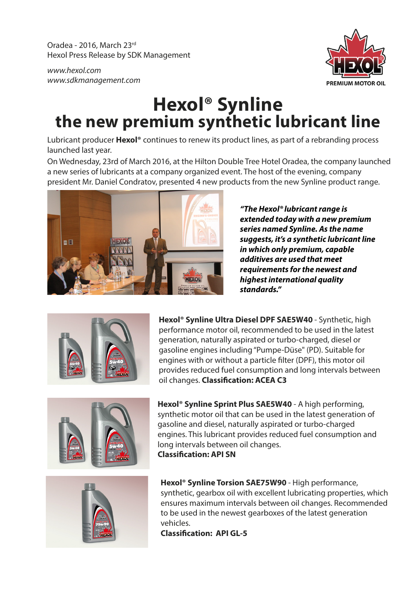Oradea - 2016, March 23rd Hexol Press Release by SDK Management

*www.hexol.com www.sdkmanagement.com*



## **Hexol® Synline the new premium synthetic lubricant line**

Lubricant producer **Hexol®** continues to renew its product lines, as part of a rebranding process launched last year.

On Wednesday, 23rd of March 2016, at the Hilton Double Tree Hotel Oradea, the company launched a new series of lubricants at a company organized event. The host of the evening, company president Mr. Daniel Condratov, presented 4 new products from the new Synline product range.



*"The Hexol® lubricant range is extended today with a new premium series named Synline. As the name suggests, it's a synthetic lubricant line in which only premium, capable additives are used that meet requirements for the newest and highest international quality standards."*



**Hexol® Synline Ultra Diesel DPF SAE5W40** - Synthetic, high performance motor oil, recommended to be used in the latest generation, naturally aspirated or turbo-charged, diesel or gasoline engines including "Pumpe-Düse" (PD). Suitable for engines with or without a particle filter (DPF), this motor oil provides reduced fuel consumption and long intervals between oil changes. **Classification: ACEA C3** 







**Hexol® Synline Torsion SAE75W90** - High performance, synthetic, gearbox oil with excellent lubricating properties, which ensures maximum intervals between oil changes. Recommended to be used in the newest gearboxes of the latest generation vehicles.

**Classication: API GL-5**